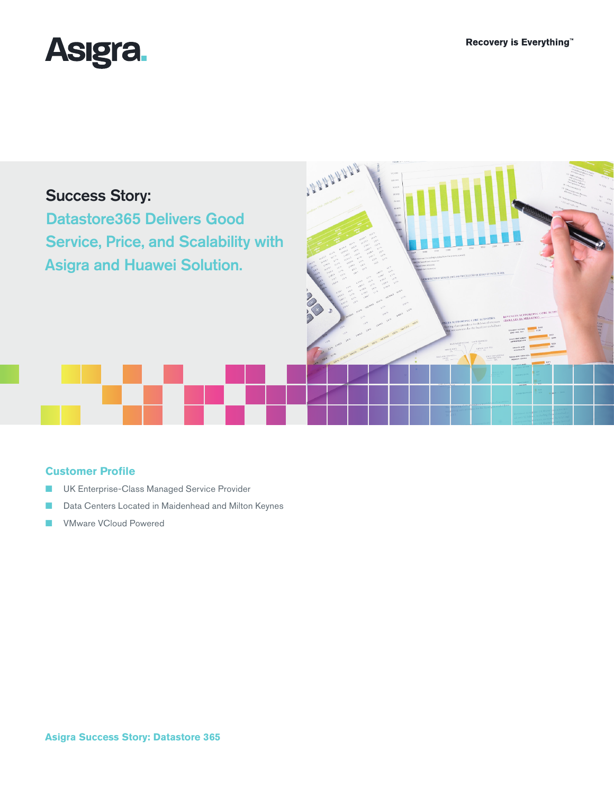





# **Customer Profile**

- UK Enterprise-Class Managed Service Provider
- Data Centers Located in Maidenhead and Milton Keynes
- VMware VCloud Powered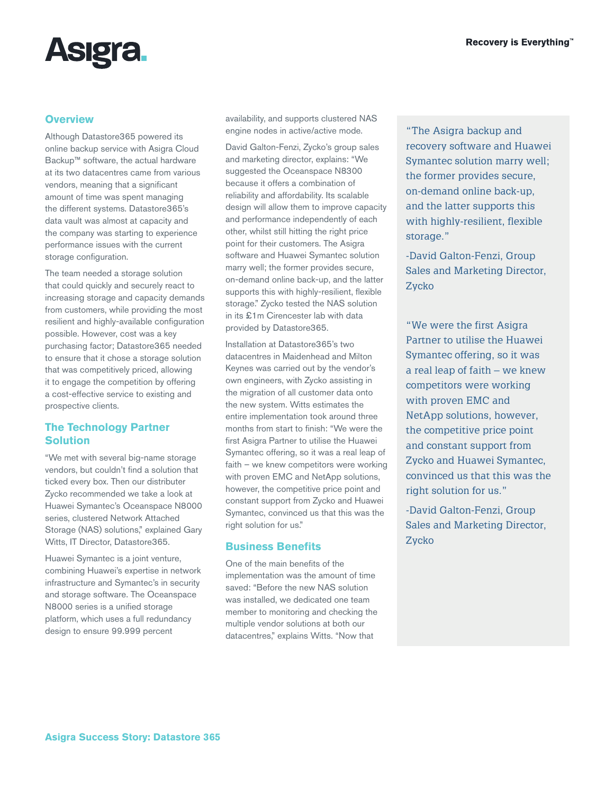

## **Overview**

Although Datastore365 powered its online backup service with Asigra Cloud Backup™ software, the actual hardware at its two datacentres came from various vendors, meaning that a significant amount of time was spent managing the different systems. Datastore365's data vault was almost at capacity and the company was starting to experience performance issues with the current storage configuration.

The team needed a storage solution that could quickly and securely react to increasing storage and capacity demands from customers, while providing the most resilient and highly-available configuration possible. However, cost was a key purchasing factor; Datastore365 needed to ensure that it chose a storage solution that was competitively priced, allowing it to engage the competition by offering a cost-effective service to existing and prospective clients.

# **The Technology Partner Solution**

"We met with several big-name storage vendors, but couldn't find a solution that ticked every box. Then our distributer Zycko recommended we take a look at Huawei Symantec's Oceanspace N8000 series, clustered Network Attached Storage (NAS) solutions," explained Gary Witts, IT Director, Datastore365.

Huawei Symantec is a joint venture, combining Huawei's expertise in network infrastructure and Symantec's in security and storage software. The Oceanspace N8000 series is a unified storage platform, which uses a full redundancy design to ensure 99.999 percent

availability, and supports clustered NAS engine nodes in active/active mode.

David Galton-Fenzi, Zycko's group sales and marketing director, explains: "We suggested the Oceanspace N8300 because it offers a combination of reliability and affordability. Its scalable design will allow them to improve capacity and performance independently of each other, whilst still hitting the right price point for their customers. The Asigra software and Huawei Symantec solution marry well; the former provides secure, on-demand online back-up, and the latter supports this with highly-resilient, flexible storage." Zycko tested the NAS solution in its £1m Cirencester lab with data provided by Datastore365.

Installation at Datastore365's two datacentres in Maidenhead and Milton Keynes was carried out by the vendor's own engineers, with Zycko assisting in the migration of all customer data onto the new system. Witts estimates the entire implementation took around three months from start to finish: "We were the first Asigra Partner to utilise the Huawei Symantec offering, so it was a real leap of faith – we knew competitors were working with proven EMC and NetApp solutions, however, the competitive price point and constant support from Zycko and Huawei Symantec, convinced us that this was the right solution for us."

# **Business Benefits**

One of the main benefits of the implementation was the amount of time saved: "Before the new NAS solution was installed, we dedicated one team member to monitoring and checking the multiple vendor solutions at both our datacentres," explains Witts. "Now that

"The Asigra backup and recovery software and Huawei Symantec solution marry well; the former provides secure, on-demand online back-up, and the latter supports this with highly-resilient, flexible storage."

-David Galton-Fenzi, Group Sales and Marketing Director, Zycko

"We were the first Asigra Partner to utilise the Huawei Symantec offering, so it was a real leap of faith – we knew competitors were working with proven EMC and NetApp solutions, however, the competitive price point and constant support from Zycko and Huawei Symantec, convinced us that this was the right solution for us."

-David Galton-Fenzi, Group Sales and Marketing Director, Zycko